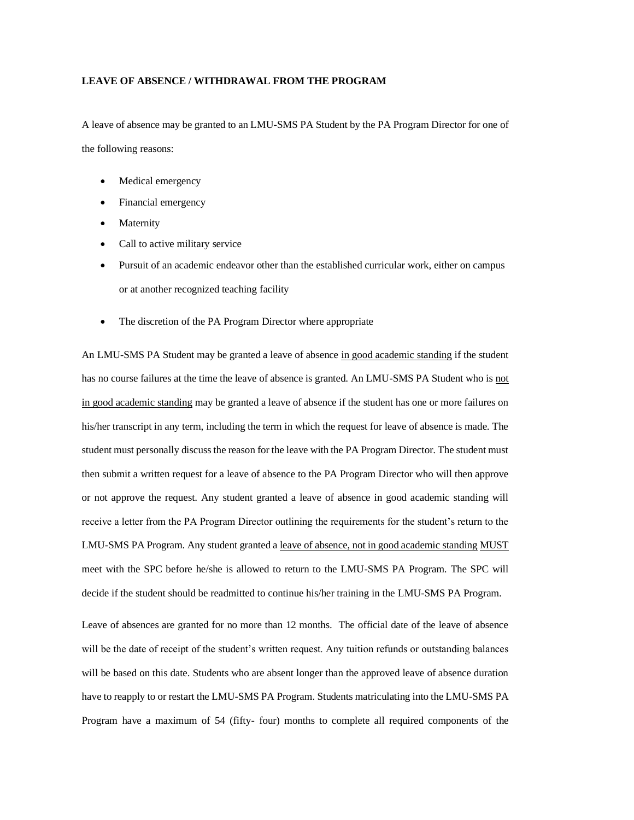## **LEAVE OF ABSENCE / WITHDRAWAL FROM THE PROGRAM**

A leave of absence may be granted to an LMU-SMS PA Student by the PA Program Director for one of the following reasons:

- Medical emergency
- Financial emergency
- **Maternity**
- Call to active military service
- Pursuit of an academic endeavor other than the established curricular work, either on campus or at another recognized teaching facility
- The discretion of the PA Program Director where appropriate

An LMU-SMS PA Student may be granted a leave of absence in good academic standing if the student has no course failures at the time the leave of absence is granted. An LMU-SMS PA Student who is not in good academic standing may be granted a leave of absence if the student has one or more failures on his/her transcript in any term, including the term in which the request for leave of absence is made. The student must personally discuss the reason for the leave with the PA Program Director. The student must then submit a written request for a leave of absence to the PA Program Director who will then approve or not approve the request. Any student granted a leave of absence in good academic standing will receive a letter from the PA Program Director outlining the requirements for the student's return to the LMU-SMS PA Program. Any student granted a leave of absence, not in good academic standing MUST meet with the SPC before he/she is allowed to return to the LMU-SMS PA Program. The SPC will decide if the student should be readmitted to continue his/her training in the LMU-SMS PA Program.

Leave of absences are granted for no more than 12 months. The official date of the leave of absence will be the date of receipt of the student's written request. Any tuition refunds or outstanding balances will be based on this date. Students who are absent longer than the approved leave of absence duration have to reapply to or restart the LMU-SMS PA Program. Students matriculating into the LMU-SMS PA Program have a maximum of 54 (fifty- four) months to complete all required components of the